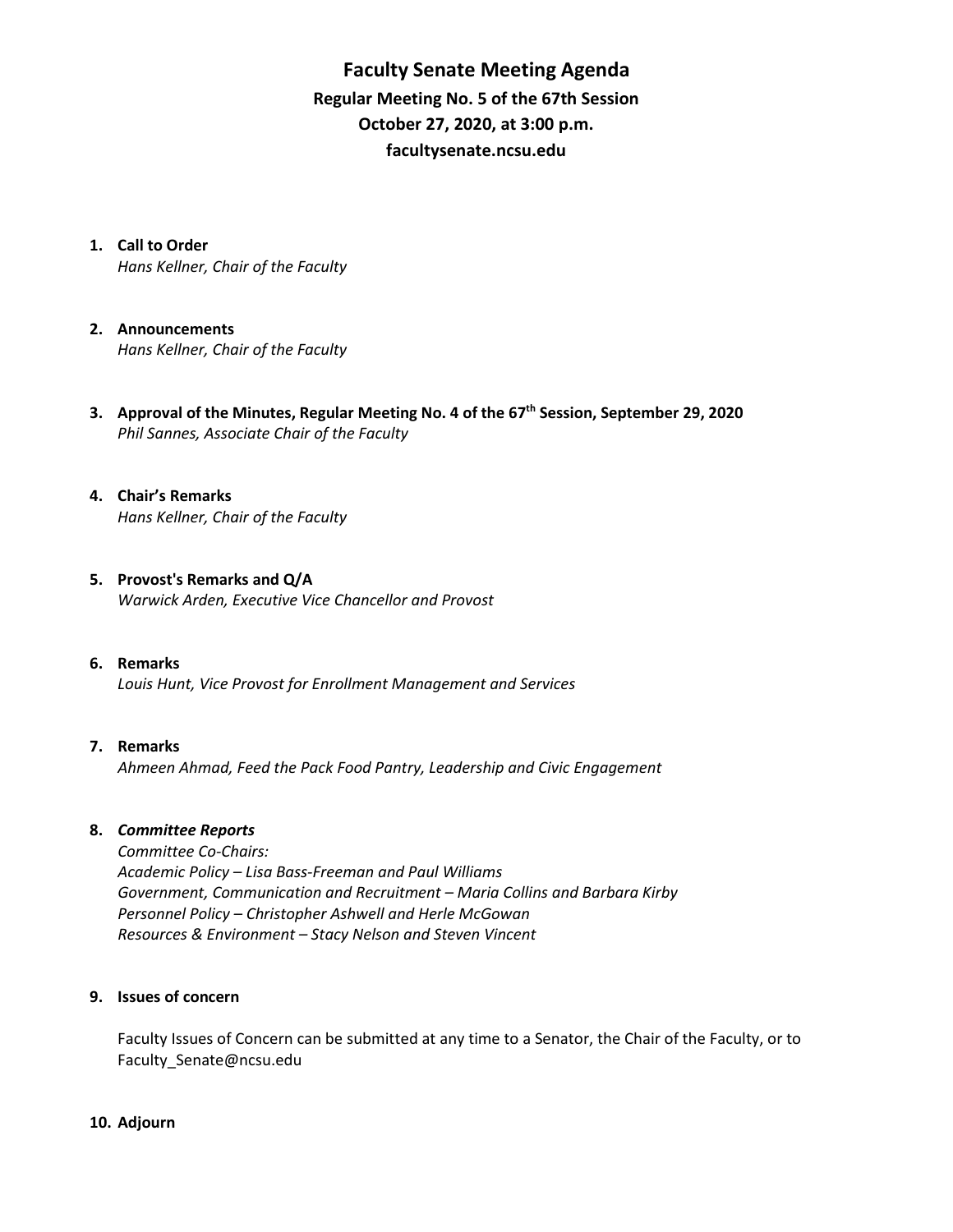**Faculty Senate Meeting Agenda Regular Meeting No. 5 of the 67th Session October 27, 2020, at 3:00 p.m. [facultysenate.ncsu.edu](https://facultysenate.ncsu.edu/)**

**1. Call to Order**

*Hans Kellner, Chair of the Faculty*

- **2. Announcements** *Hans Kellner, Chair of the Faculty*
- **3. Approval of the Minutes, Regular Meeting No. 4 of the 67th Session, September 29, 2020** *Phil Sannes, Associate Chair of the Faculty*
- **4. Chair's Remarks** *Hans Kellner, Chair of the Faculty*
- **5. Provost's Remarks and Q/A** *Warwick Arden, Executive Vice Chancellor and Provost*
- **6. Remarks**  *Louis Hunt, Vice Provost for Enrollment Management and Services*

## **7. Remarks**

*Ahmeen Ahmad, Feed the Pack Food Pantry, Leadership and Civic Engagement* 

### **8.** *Committee Reports*

*Committee Co-Chairs: Academic Policy – Lisa Bass-Freeman and Paul Williams Government, Communication and Recruitment – Maria Collins and Barbara Kirby Personnel Policy – Christopher Ashwell and Herle McGowan Resources & Environment – Stacy Nelson and Steven Vincent*

#### **9. Issues of concern**

Faculty Issues of Concern can be submitted at any time to a Senator, the Chair of the Faculty, or to [Faculty\\_Senate@ncsu.edu](mailto:Faculty_Senate@ncsu.edu)

#### **10. Adjourn**